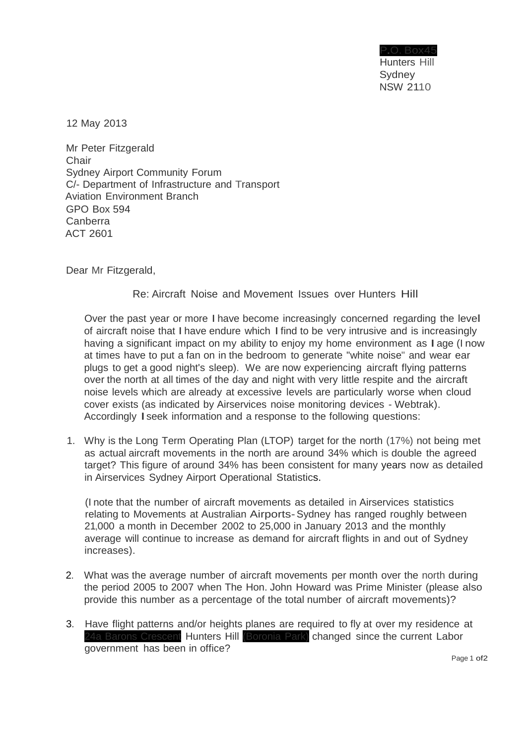P.O. Box45 Hunters Hill **Sydney** NSW 2110

12 May 2013

Mr Peter Fitzgerald **Chair** Sydney Airport Community Forum C/- Department of Infrastructure and Transport Aviation Environment Branch GPO Box 594 Canberra ACT 2601

Dear Mr Fitzgerald,

## Re: Aircraft Noise and Movement Issues over Hunters Hill

Over the past year or more I have become increasingly concerned regarding the level of aircraft noise that I have endure which I find to be very intrusive and is increasingly having a significant impact on my ability to enjoy my home environment as I age (I now at times have to put a fan on in the bedroom to generate "white noise" and wear ear plugs to get a good night's sleep). We are now experiencing aircraft flying patterns over the north at all times of the day and night with very little respite and the aircraft noise levels which are already at excessive levels are particularly worse when cloud cover exists (as indicated by Airservices noise monitoring devices - Webtrak). Accordingly Iseek information and <sup>a</sup> response to the following questions:

1. Why is the Long Term Operating Plan (LTOP) target for the north (17%) not being met as actual aircraft movements in the north are around 34% which is double the agreed target? This figure of around 34% has been consistent for many years now as detailed in Airservices Sydney Airport Operational Statistics.

(I note that the number of aircraft movements as detailed in Airservices statistics relating to Movements at Australian Airports-Sydney has ranged roughly between 21,000 a month in December 2002 to 25,000 in January 2013 and the monthly average will continue to increase as demand for aircraft flights in and out of Sydney increases).

- 2. What was the average number of aircraft movements per month over the north during the period 2005 to 2007 when The Hon. John Howard was Prime Minister (please also provide this number as a percentage of the total number of aircraft movements)?
- 3. Have flight patterns and/or heights planes are required to fly at over my residence at 24a Barons Crescent Hunters Hill (Boronia Park) changed since the current Labor government has been in office?

Page 1 of2